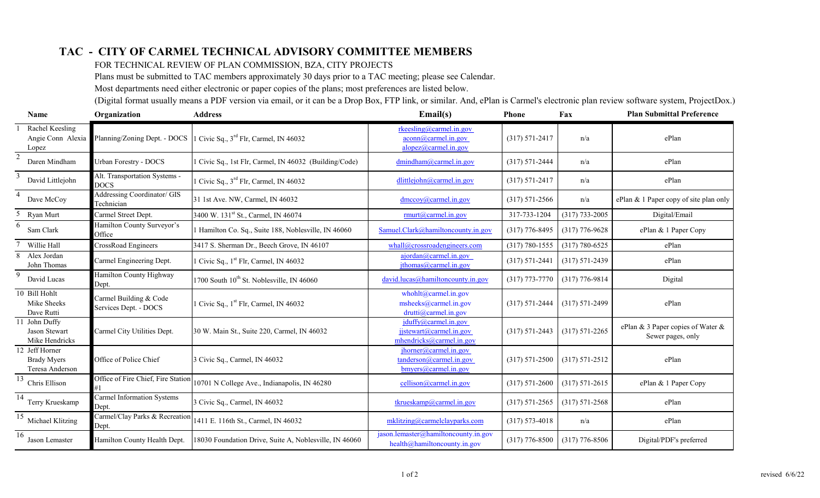## **TAC - CITY OF CARMEL TECHNICAL ADVISORY COMMITTEE MEMBERS**

FOR TECHNICAL REVIEW OF PLAN COMMISSION, BZA, CITY PROJECTS

Plans must be submitted to TAC members approximately 30 days prior to a TAC meeting; please see Calendar.

Most departments need either electronic or paper copies of the plans; most preferences are listed below.

(Digital format usually means a PDF version via email, or it can be a Drop Box, FTP link, or similar. And, ePlan is Carmel's electronic plan review software system, ProjectDox.)

| <b>Name</b>                                             | Organization                                    | <b>Address</b>                                         | Email(s)                                                                       | Phone              | Fax                | <b>Plan Submittal Preference</b>                       |
|---------------------------------------------------------|-------------------------------------------------|--------------------------------------------------------|--------------------------------------------------------------------------------|--------------------|--------------------|--------------------------------------------------------|
| Rachel Keesling<br>Angie Conn Alexia<br>Lopez           | Planning/Zoning Dept. - DOCS                    | 1 Civic Sq., $3^{\text{rd}}$ Flr, Carmel, IN 46032     | rkeesling@camel.in.gov<br>acom@camel.in.gov<br>alopez@camel.in.gov             | $(317) 571 - 2417$ | n/a                | ePlan                                                  |
| $\overline{2}$<br>Daren Mindham                         | <b>Urban Forestry - DOCS</b>                    | 1 Civic Sq., 1st Flr, Carmel, IN 46032 (Building/Code) | dmindham@carmel.in.gov                                                         | $(317) 571 - 2444$ | n/a                | ePlan                                                  |
| 3<br>David Littlejohn                                   | Alt. Transportation Systems -<br><b>DOCS</b>    | Civic Sq., $3^{\text{rd}}$ Flr, Carmel, IN 46032       | dlittlejohn@carmel.in.gov                                                      | $(317) 571 - 2417$ | n/a                | ePlan                                                  |
| 4<br>Dave McCoy                                         | Addressing Coordinator/ GIS<br>Technician       | 31 1st Ave. NW, Carmel, IN 46032                       | $\frac{dmccov(a)$ carmel.in.gov                                                | $(317) 571 - 2566$ | n/a                | ePlan & 1 Paper copy of site plan only                 |
| 5 Ryan Murt                                             | Carmel Street Dept.                             | 3400 W. 131st St., Carmel, IN 46074                    | rmut@carmel.in.gov                                                             | 317-733-1204       | $(317) 733 - 2005$ | Digital/Email                                          |
| 6<br>Sam Clark                                          | Hamilton County Surveyor's<br>Office            | Hamilton Co. Sq., Suite 188, Noblesville, IN 46060     | Samuel.Clark@hamiltoncounty.in.gov                                             | $(317)$ 776-8495   | $(317)$ 776-9628   | ePlan & 1 Paper Copy                                   |
| Willie Hall                                             | CrossRoad Engineers                             | 3417 S. Sherman Dr., Beech Grove, IN 46107             | whall@crossroad engineers.com                                                  | $(317) 780 - 1555$ | $(317) 780 - 6525$ | ePlan                                                  |
| Alex Jordan<br>John Thomas                              | Carmel Engineering Dept.                        | 1 Civic Sq., 1 <sup>st</sup> Flr, Carmel, IN 46032     | ajordan@camel.in.gov<br>ithomas@camel.in.gov                                   | $(317) 571 - 2441$ | $(317) 571 - 2439$ | ePlan                                                  |
| 9<br>David Lucas                                        | Hamilton County Highway<br>Dept.                | 1700 South 10 <sup>th</sup> St. Noblesville, IN 46060  | david.lucas@hamiltoncounty.in.gov                                              | $(317)$ 773-7770   | $(317)$ 776-9814   | Digital                                                |
| 10 Bill Hohlt<br>Mike Sheeks<br>Dave Rutti              | Carmel Building & Code<br>Services Dept. - DOCS | Civic Sq., 1 <sup>st</sup> Flr, Carmel, IN 46032       | whichlt@camel.in.gov<br>msheeks@carmel.in.gov<br>drutti@carmel.in.gov          | $(317) 571 - 2444$ | $(317) 571 - 2499$ | ePlan                                                  |
| 11 John Duffy<br>Jason Stewart<br>Mike Hendricks        | Carmel City Utilities Dept.                     | 30 W. Main St., Suite 220, Carmel, IN 46032            | jduffy@carmel.in.gov<br>$i$ jstewart@carmel.in.gov<br>mhendricks@carmel.in.gov | $(317) 571 - 2443$ | $(317) 571 - 2265$ | ePlan & 3 Paper copies of Water &<br>Sewer pages, only |
| 12 Jeff Horner<br><b>Brady Myers</b><br>Teresa Anderson | Office of Police Chief                          | 3 Civic Sq., Carmel, IN 46032                          | ihorner@camel.in.gov<br>tanderson@camel.in.gov<br>$b$ myers@carmel.in.gov      | $(317) 571 - 2500$ | $(317) 571 - 2512$ | ePlan                                                  |
| $\overline{13}$<br>Chris Ellison                        | Office of Fire Chief, Fire Station              | 10701 N College Ave., Indianapolis, IN 46280           | cellison@camel.in.gov                                                          | $(317) 571 - 2600$ | $(317) 571 - 2615$ | ePlan & 1 Paper Copy                                   |
| 14<br>Terry Krueskamp                                   | Carmel Information Systems<br>Dept.             | 3 Civic Sq., Carmel, IN 46032                          | tkrueskamp@carmel.in.gov                                                       | $(317) 571 - 2565$ | $(317) 571 - 2568$ | ePlan                                                  |
| 15<br>Michael Klitzing                                  | Carmel/Clay Parks & Recreation<br>Dept.         | 1411 E. 116th St., Carmel, IN 46032                    | mklitzing@carmelclayparks.com                                                  | $(317) 573 - 4018$ | n/a                | ePlan                                                  |
| 16<br>Jason Lemaster                                    | Hamilton County Health Dept.                    | 18030 Foundation Drive, Suite A, Noblesville, IN 46060 | jason.lemaster@hamiltoncounty.in.gov<br>health@hamiltoncounty.in.gov           | $(317)$ 776-8500   | $(317)$ 776-8506   | Digital/PDF's preferred                                |